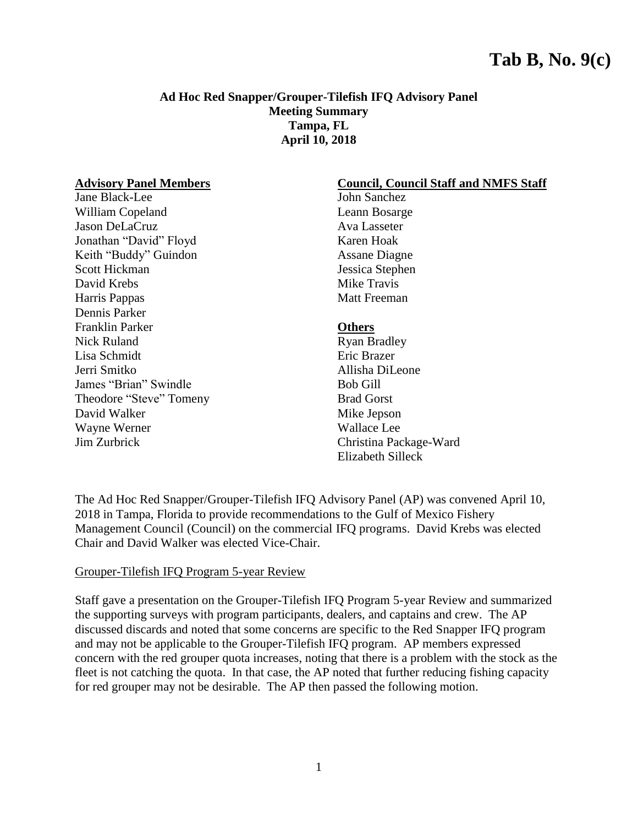# **Tab B, No. 9(c)**

#### **Ad Hoc Red Snapper/Grouper-Tilefish IFQ Advisory Panel Meeting Summary Tampa, FL April 10, 2018**

#### **Advisory Panel Members**

Jane Black-Lee William Copeland Jason DeLaCruz Jonathan "David" Floyd Keith "Buddy" Guindon Scott Hickman David Krebs Harris Pappas Dennis Parker Franklin Parker Nick Ruland Lisa Schmidt Jerri Smitko James "Brian" Swindle Theodore "Steve" Tomeny David Walker Wayne Werner Jim Zurbrick

### **Council, Council Staff and NMFS Staff**

John Sanchez Leann Bosarge Ava Lasseter Karen Hoak Assane Diagne Jessica Stephen Mike Travis Matt Freeman

#### **Others**

Ryan Bradley Eric Brazer Allisha DiLeone Bob Gill Brad Gorst Mike Jepson Wallace Lee Christina Package-Ward Elizabeth Silleck

The Ad Hoc Red Snapper/Grouper-Tilefish IFQ Advisory Panel (AP) was convened April 10, 2018 in Tampa, Florida to provide recommendations to the Gulf of Mexico Fishery Management Council (Council) on the commercial IFQ programs. David Krebs was elected Chair and David Walker was elected Vice-Chair.

#### Grouper-Tilefish IFQ Program 5-year Review

Staff gave a presentation on the Grouper-Tilefish IFQ Program 5-year Review and summarized the supporting surveys with program participants, dealers, and captains and crew. The AP discussed discards and noted that some concerns are specific to the Red Snapper IFQ program and may not be applicable to the Grouper-Tilefish IFQ program. AP members expressed concern with the red grouper quota increases, noting that there is a problem with the stock as the fleet is not catching the quota. In that case, the AP noted that further reducing fishing capacity for red grouper may not be desirable. The AP then passed the following motion.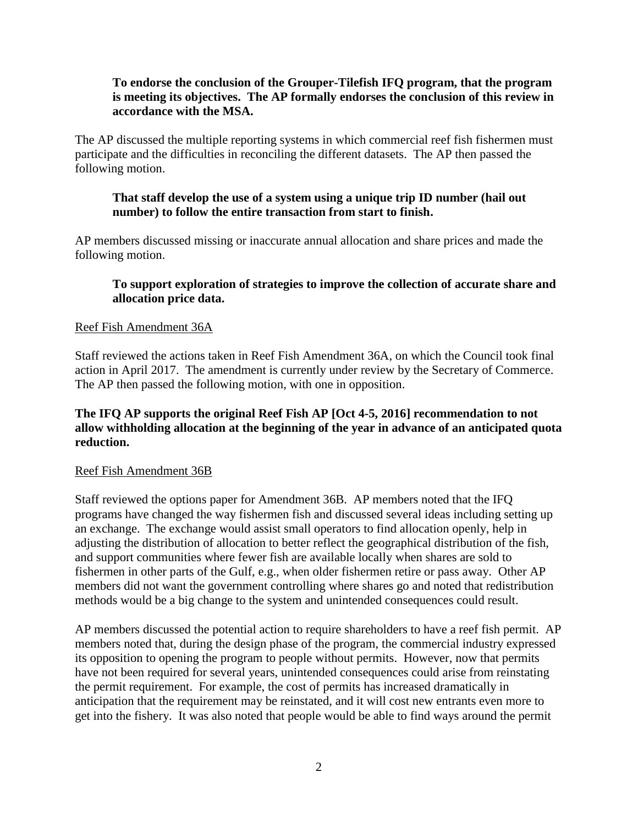## **To endorse the conclusion of the Grouper-Tilefish IFQ program, that the program is meeting its objectives. The AP formally endorses the conclusion of this review in accordance with the MSA.**

The AP discussed the multiple reporting systems in which commercial reef fish fishermen must participate and the difficulties in reconciling the different datasets. The AP then passed the following motion.

#### **That staff develop the use of a system using a unique trip ID number (hail out number) to follow the entire transaction from start to finish.**

AP members discussed missing or inaccurate annual allocation and share prices and made the following motion.

## **To support exploration of strategies to improve the collection of accurate share and allocation price data.**

#### Reef Fish Amendment 36A

Staff reviewed the actions taken in Reef Fish Amendment 36A, on which the Council took final action in April 2017. The amendment is currently under review by the Secretary of Commerce. The AP then passed the following motion, with one in opposition.

## **The IFQ AP supports the original Reef Fish AP [Oct 4-5, 2016] recommendation to not allow withholding allocation at the beginning of the year in advance of an anticipated quota reduction.**

#### Reef Fish Amendment 36B

Staff reviewed the options paper for Amendment 36B. AP members noted that the IFQ programs have changed the way fishermen fish and discussed several ideas including setting up an exchange. The exchange would assist small operators to find allocation openly, help in adjusting the distribution of allocation to better reflect the geographical distribution of the fish, and support communities where fewer fish are available locally when shares are sold to fishermen in other parts of the Gulf, e.g., when older fishermen retire or pass away. Other AP members did not want the government controlling where shares go and noted that redistribution methods would be a big change to the system and unintended consequences could result.

AP members discussed the potential action to require shareholders to have a reef fish permit. AP members noted that, during the design phase of the program, the commercial industry expressed its opposition to opening the program to people without permits. However, now that permits have not been required for several years, unintended consequences could arise from reinstating the permit requirement. For example, the cost of permits has increased dramatically in anticipation that the requirement may be reinstated, and it will cost new entrants even more to get into the fishery. It was also noted that people would be able to find ways around the permit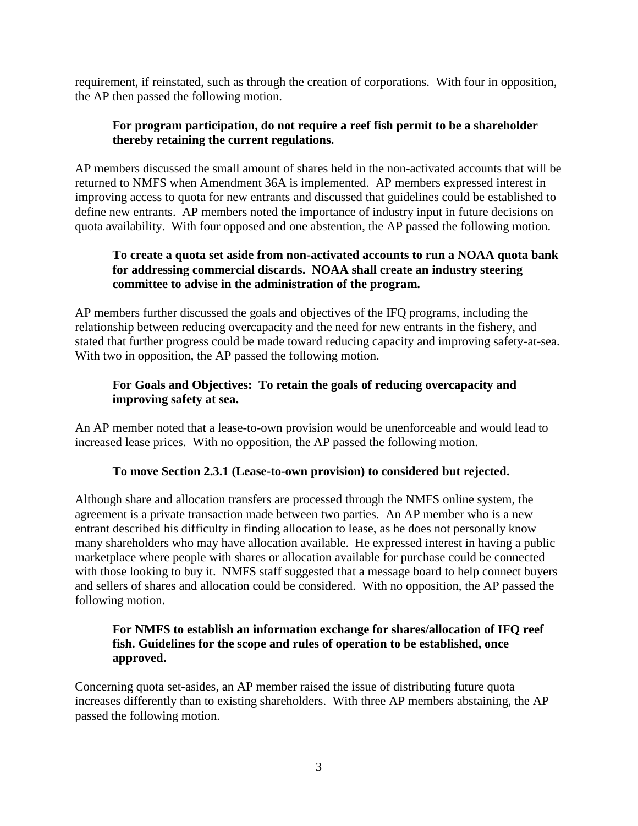requirement, if reinstated, such as through the creation of corporations. With four in opposition, the AP then passed the following motion.

## **For program participation, do not require a reef fish permit to be a shareholder thereby retaining the current regulations.**

AP members discussed the small amount of shares held in the non-activated accounts that will be returned to NMFS when Amendment 36A is implemented. AP members expressed interest in improving access to quota for new entrants and discussed that guidelines could be established to define new entrants. AP members noted the importance of industry input in future decisions on quota availability. With four opposed and one abstention, the AP passed the following motion.

## **To create a quota set aside from non-activated accounts to run a NOAA quota bank for addressing commercial discards. NOAA shall create an industry steering committee to advise in the administration of the program.**

AP members further discussed the goals and objectives of the IFQ programs, including the relationship between reducing overcapacity and the need for new entrants in the fishery, and stated that further progress could be made toward reducing capacity and improving safety-at-sea. With two in opposition, the AP passed the following motion.

# **For Goals and Objectives: To retain the goals of reducing overcapacity and improving safety at sea.**

An AP member noted that a lease-to-own provision would be unenforceable and would lead to increased lease prices. With no opposition, the AP passed the following motion.

## **To move Section 2.3.1 (Lease-to-own provision) to considered but rejected.**

Although share and allocation transfers are processed through the NMFS online system, the agreement is a private transaction made between two parties. An AP member who is a new entrant described his difficulty in finding allocation to lease, as he does not personally know many shareholders who may have allocation available. He expressed interest in having a public marketplace where people with shares or allocation available for purchase could be connected with those looking to buy it. NMFS staff suggested that a message board to help connect buyers and sellers of shares and allocation could be considered. With no opposition, the AP passed the following motion.

## **For NMFS to establish an information exchange for shares/allocation of IFQ reef fish. Guidelines for the scope and rules of operation to be established, once approved.**

Concerning quota set-asides, an AP member raised the issue of distributing future quota increases differently than to existing shareholders. With three AP members abstaining, the AP passed the following motion.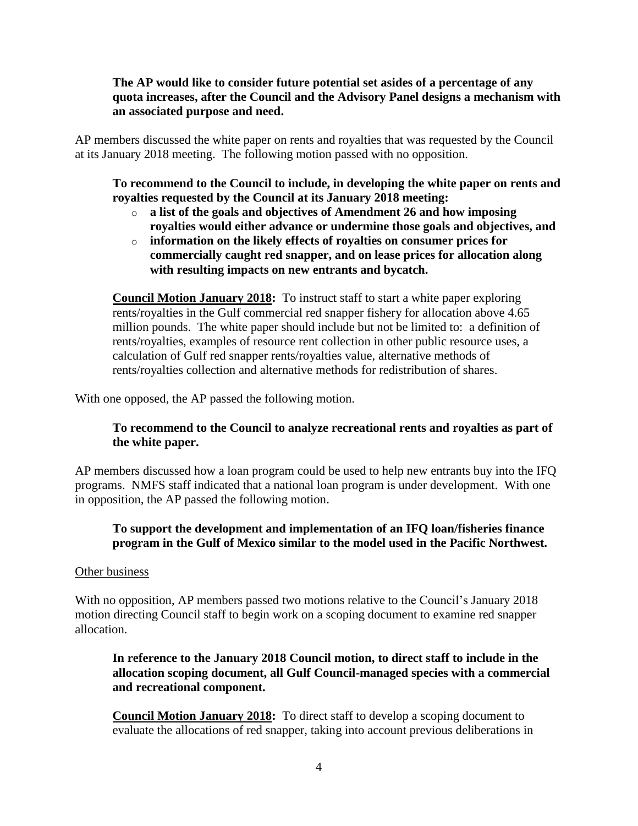## **The AP would like to consider future potential set asides of a percentage of any quota increases, after the Council and the Advisory Panel designs a mechanism with an associated purpose and need.**

AP members discussed the white paper on rents and royalties that was requested by the Council at its January 2018 meeting. The following motion passed with no opposition.

**To recommend to the Council to include, in developing the white paper on rents and royalties requested by the Council at its January 2018 meeting:**

- o **a list of the goals and objectives of Amendment 26 and how imposing royalties would either advance or undermine those goals and objectives, and**
- o **information on the likely effects of royalties on consumer prices for commercially caught red snapper, and on lease prices for allocation along with resulting impacts on new entrants and bycatch.**

**Council Motion January 2018:** To instruct staff to start a white paper exploring rents/royalties in the Gulf commercial red snapper fishery for allocation above 4.65 million pounds. The white paper should include but not be limited to: a definition of rents/royalties, examples of resource rent collection in other public resource uses, a calculation of Gulf red snapper rents/royalties value, alternative methods of rents/royalties collection and alternative methods for redistribution of shares.

With one opposed, the AP passed the following motion.

## **To recommend to the Council to analyze recreational rents and royalties as part of the white paper.**

AP members discussed how a loan program could be used to help new entrants buy into the IFQ programs. NMFS staff indicated that a national loan program is under development. With one in opposition, the AP passed the following motion.

# **To support the development and implementation of an IFQ loan/fisheries finance program in the Gulf of Mexico similar to the model used in the Pacific Northwest.**

#### Other business

With no opposition, AP members passed two motions relative to the Council's January 2018 motion directing Council staff to begin work on a scoping document to examine red snapper allocation.

## **In reference to the January 2018 Council motion, to direct staff to include in the allocation scoping document, all Gulf Council-managed species with a commercial and recreational component.**

**Council Motion January 2018:** To direct staff to develop a scoping document to evaluate the allocations of red snapper, taking into account previous deliberations in